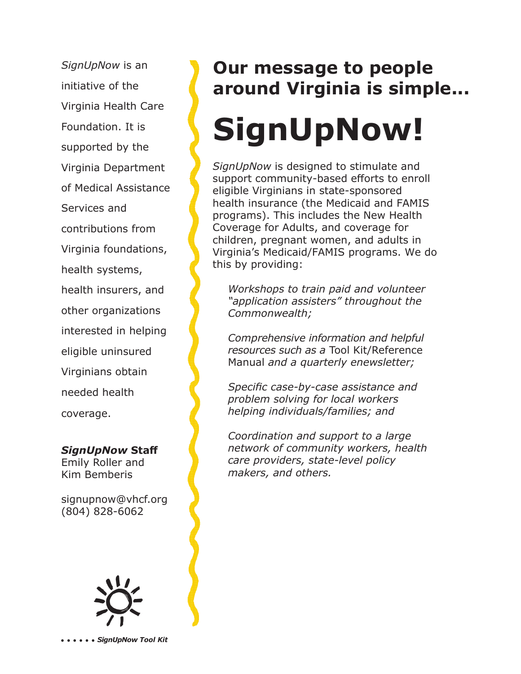*SignUpNow* is an initiative of the Virginia Health Care Foundation. It is supported by the Virginia Department of Medical Assistance Services and contributions from Virginia foundations, health systems, health insurers, and other organizations interested in helping eligible uninsured Virginians obtain needed health coverage.

*SignUpNow* **Staff** Emily Roller and Kim Bemberis

signupnow@vhcf.org (804) 828-6062



### **Our message to people around Virginia is simple...**

# **SignUpNow!**

*SignUpNow* is designed to stimulate and support community-based efforts to enroll eligible Virginians in state-sponsored health insurance (the Medicaid and FAMIS programs). This includes the New Health Coverage for Adults, and coverage for children, pregnant women, and adults in Virginia's Medicaid/FAMIS programs. We do this by providing:

*Workshops to train paid and volunteer "application assisters" throughout the Commonwealth;*

*Comprehensive information and helpful resources such as a* Tool Kit/Reference Manual *and a quarterly enewsletter;*

*Specific case-by-case assistance and problem solving for local workers helping individuals/families; and* 

*Coordination and support to a large network of community workers, health care providers, state-level policy makers, and others.*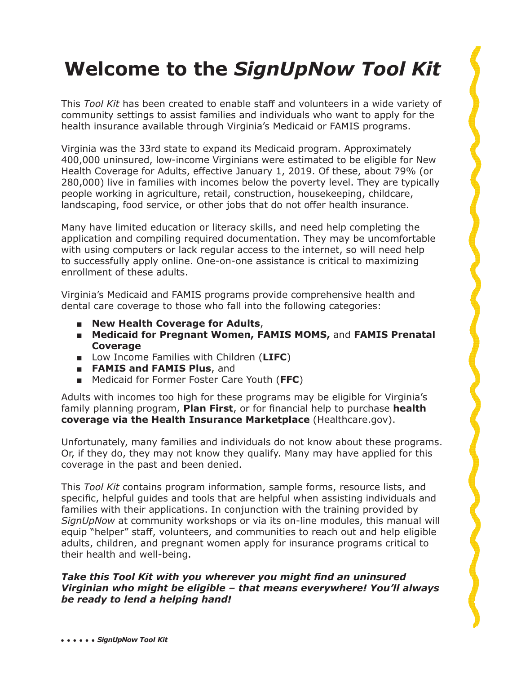### **Welcome to the** *SignUpNow Tool Kit*

This *Tool Kit* has been created to enable staff and volunteers in a wide variety of community settings to assist families and individuals who want to apply for the health insurance available through Virginia's Medicaid or FAMIS programs.

Virginia was the 33rd state to expand its Medicaid program. Approximately 400,000 uninsured, low-income Virginians were estimated to be eligible for New Health Coverage for Adults, effective January 1, 2019. Of these, about 79% (or 280,000) live in families with incomes below the poverty level. They are typically people working in agriculture, retail, construction, housekeeping, childcare, landscaping, food service, or other jobs that do not offer health insurance.

Many have limited education or literacy skills, and need help completing the application and compiling required documentation. They may be uncomfortable with using computers or lack regular access to the internet, so will need help to successfully apply online. One-on-one assistance is critical to maximizing enrollment of these adults.

Virginia's Medicaid and FAMIS programs provide comprehensive health and dental care coverage to those who fall into the following categories:

- **■ New Health Coverage for Adults**,
- **Medicaid for Pregnant Women, FAMIS MOMS, and FAMIS Prenatal Coverage**
- **■** Low Income Families with Children (**LIFC**)
- **■ FAMIS and FAMIS Plus**, and
- Medicaid for Former Foster Care Youth (FFC)

Adults with incomes too high for these programs may be eligible for Virginia's family planning program, **Plan First**, or for financial help to purchase **health coverage via the Health Insurance Marketplace** (Healthcare.gov).

Unfortunately, many families and individuals do not know about these programs. Or, if they do, they may not know they qualify. Many may have applied for this coverage in the past and been denied.

This *Tool Kit* contains program information, sample forms, resource lists, and specific, helpful guides and tools that are helpful when assisting individuals and families with their applications. In conjunction with the training provided by *SignUpNow* at community workshops or via its on-line modules, this manual will equip "helper" staff, volunteers, and communities to reach out and help eligible adults, children, and pregnant women apply for insurance programs critical to their health and well-being.

#### *Take this Tool Kit with you wherever you might fi nd an uninsured Virginian who might be eligible – that means everywhere! You'll always be ready to lend a helping hand!*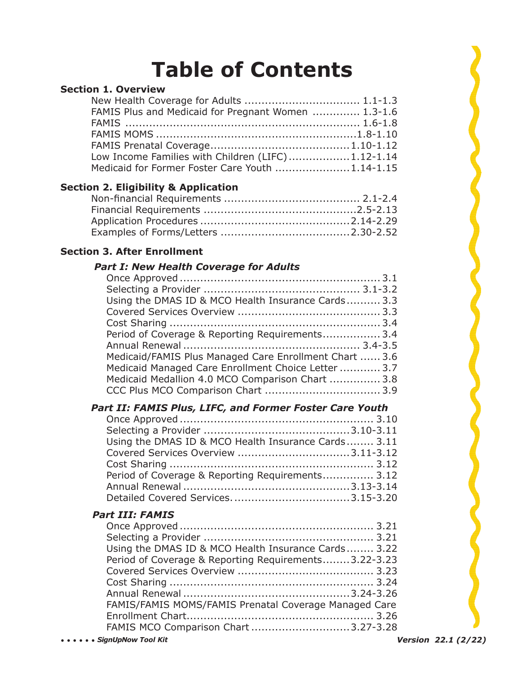## **Table of Contents**

#### **Section 1. Overview**

| FAMIS Plus and Medicaid for Pregnant Women  1.3-1.6 |  |
|-----------------------------------------------------|--|
|                                                     |  |
|                                                     |  |
|                                                     |  |
| Low Income Families with Children (LIFC)1.12-1.14   |  |
| Medicaid for Former Foster Care Youth 1.14-1.15     |  |

#### **Section 2. Eligibility & Application**

#### **Section 3. After Enrollment**

#### *Part I: New Health Coverage for Adults*

| Using the DMAS ID & MCO Health Insurance Cards 3.3     |  |
|--------------------------------------------------------|--|
|                                                        |  |
|                                                        |  |
| Period of Coverage & Reporting Requirements 3.4        |  |
|                                                        |  |
| Medicaid/FAMIS Plus Managed Care Enrollment Chart  3.6 |  |
| Medicaid Managed Care Enrollment Choice Letter  3.7    |  |
| Medicaid Medallion 4.0 MCO Comparison Chart  3.8       |  |
|                                                        |  |

#### *Part II: FAMIS Plus, LIFC, and Former Foster Care Youth*

| Using the DMAS ID & MCO Health Insurance Cards 3.11 |  |
|-----------------------------------------------------|--|
|                                                     |  |
|                                                     |  |
| Period of Coverage & Reporting Requirements 3.12    |  |
|                                                     |  |
|                                                     |  |

#### *Part III: FAMIS*

| Using the DMAS ID & MCO Health Insurance Cards 3.22   |  |
|-------------------------------------------------------|--|
| Period of Coverage & Reporting Requirements3.22-3.23  |  |
|                                                       |  |
|                                                       |  |
|                                                       |  |
| FAMIS/FAMIS MOMS/FAMIS Prenatal Coverage Managed Care |  |
|                                                       |  |
| FAMIS MCO Comparison Chart 3.27-3.28                  |  |